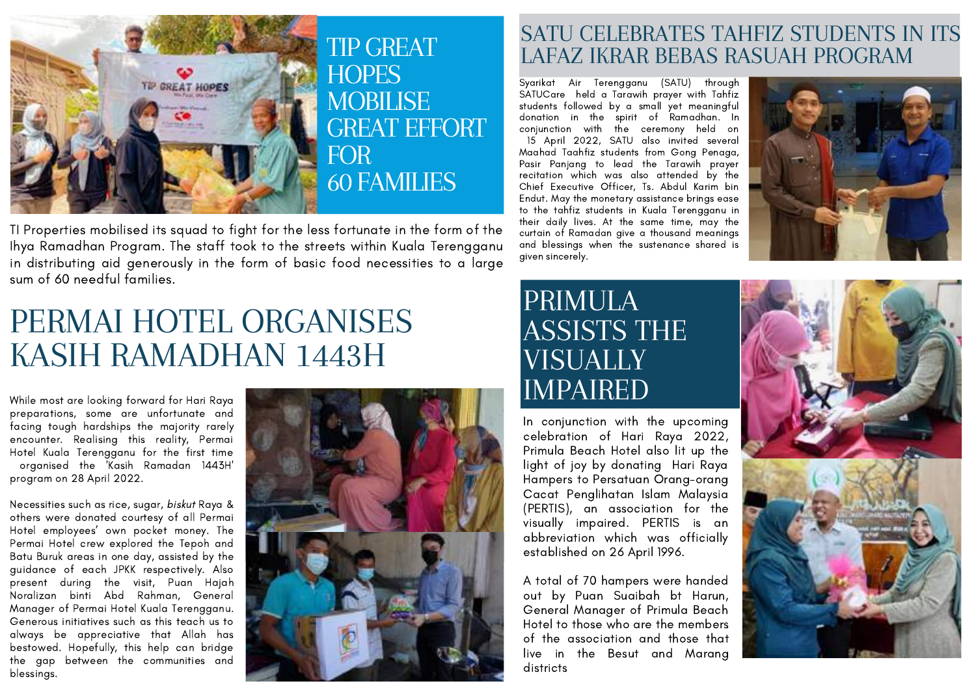

TI Properties mobilised its squad to fight for the less fortunate in the form of the Ihya Ramadhan Program. The staff took to the streets within Kuala Terengganu in distributing aid generously in the form of basic food necessities to a large sum of 60 needful families.

# PERMAI HOTEL ORGANISES KASIH RAMADHAN 1443H

While most are looking forward for Hari Raya preparations, some are unfortunate and facing tough hardships the majority rarely encounter. Realising this reality, Permai Hotel Kuala Terengganu for the first time organised the 'Kasih Ramadan 1443H' program on 28 April 2022.

Necessities such as rice, sugar, biskut Raya & others were donated courtesy of all Permai Hotel employees' own pocket money. The Permai Hotel crew explored the Tepoh and Batu Buruk areas in one day, assisted by the guidance of each JPKK respectively. Also present during the visit, Puan Hajah Noralizan binti Abd Rahman, General Manager of Permai Hotel Kuala Terengganu. Generous initiatives such as this teach us to always be appreciative that Allah has bestowed. Hopefully, this help can bridge the gap between the communities and blessings.



#### SATU CELEBRATES TAHFIZ STUDENTS IN ITS LAFAZ IKRAR BEBAS RASUAH PROGRAM

Syarikat Air Terengganu (SATU) through SATUCare held a Tarawih prayer with Tahfiz students followed by a small yet meaningful donation in the spirit of Ramadhan. In conjunction with the ceremony held on 15 April 2022, SATU also invited several Maahad Taahfiz students from Gong Penaga, Pasir Panjang to lead the Tarawih prayer recitation which was also attended by the Chief Executive Officer, Ts. Abdul Karim bin Endut. May the monetary assistance brings ease to the tahfiz students in Kuala Terengganu in their daily lives. At the same time, may the curtain of Ramadan give a thousand meanings and blessings when the sustenance shared is given sincerely.



### PRIMULA ASSISTS THE VISUALLY IMPAIRED

In conjunction with the upcoming celebration of Hari Raya 2022, Primula Beach Hotel also lit up the light of joy by donating Hari Raya Hampers to Persatuan Orang-orang Cacat Penglihatan Islam Malaysia (PERTIS), an association for the visually impaired. PERTIS is an abbreviation which was officially established on 26 April 1996.

A total of 70 hampers were handed out by Puan Suaibah bt Harun, General Manager of Primula Beach Hotel to those who are the members of the association and those that live in the Besut and Marang districts